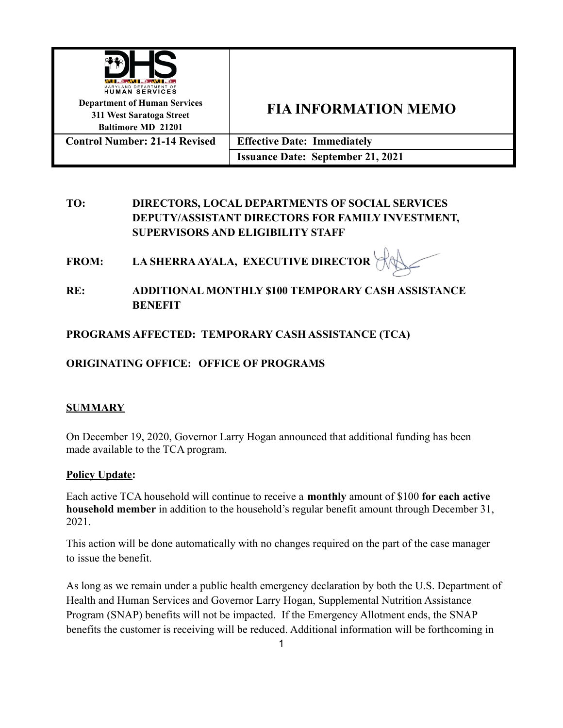

# **TO: DIRECTORS, LOCAL DEPARTMENTS OF SOCIAL SERVICES DEPUTY/ASSISTANT DIRECTORS FOR FAMILY INVESTMENT, SUPERVISORS AND ELIGIBILITY STAFF**

**FROM: LA SHERRA AYALA, EXECUTIVE DIRECTOR**

**RE: ADDITIONAL MONTHLY \$100 TEMPORARY CASH ASSISTANCE BENEFIT**

**PROGRAMS AFFECTED: TEMPORARY CASH ASSISTANCE (TCA)**

# **ORIGINATING OFFICE: OFFICE OF PROGRAMS**

## **SUMMARY**

On December 19, 2020, Governor Larry Hogan announced that additional funding has been made available to the TCA program.

### **Policy Update:**

Each active TCA household will continue to receive a **monthly** amount of \$100 **for each active household member** in addition to the household's regular benefit amount through December 31, 2021.

This action will be done automatically with no changes required on the part of the case manager to issue the benefit.

As long as we remain under a public health emergency declaration by both the U.S. Department of Health and Human Services and Governor Larry Hogan, Supplemental Nutrition Assistance Program (SNAP) benefits will not be impacted. If the Emergency Allotment ends, the SNAP benefits the customer is receiving will be reduced. Additional information will be forthcoming in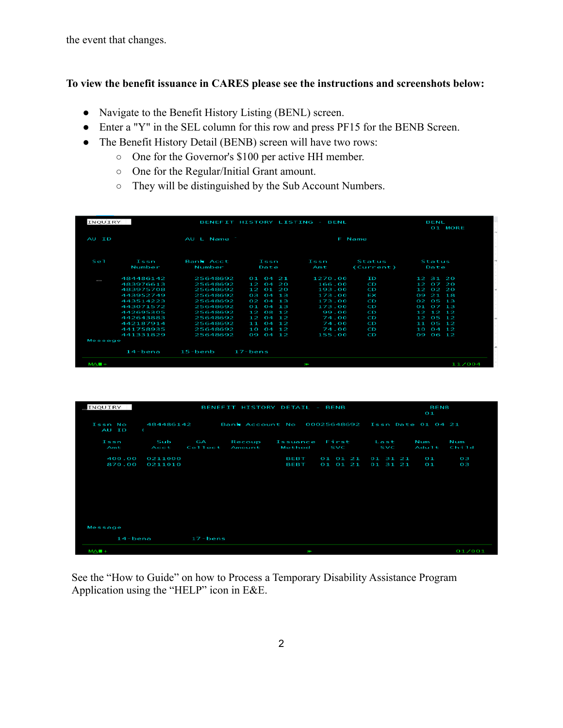the event that changes.

#### **To view the benefit issuance in CARES please see the instructions and screenshots below:**

- Navigate to the Benefit History Listing (BENL) screen.
- Enter a "Y" in the SEL column for this row and press PF15 for the BENB Screen.
- The Benefit History Detail (BENB) screen will have two rows:
	- One for the Governor's \$100 per active HH member.
	- One for the Regular/Initial Grant amount.
	- They will be distinguished by the Sub Account Numbers.

| AU ID   |                |                     | BENL<br>01 MORE             |             |                     |                                       |  |
|---------|----------------|---------------------|-----------------------------|-------------|---------------------|---------------------------------------|--|
|         |                | AU L Name           |                             |             |                     |                                       |  |
| Se 1    | Issn<br>Number | Bank Acct<br>Number | Issn<br>Date                | Issn<br>Amt | Status<br>(Current) | Status<br>Date                        |  |
|         | 484486142      | 25648692            | $01\ 04\ 21$                | 1270.00     | ΙD                  | 12 31 20                              |  |
| $\sim$  | 483976613      | 25648692            | $12 \ 04$<br>$\geq 0$       | 166.00      | cю                  | 07.20<br>$\overline{1}$               |  |
|         | 483975708      | 25648692            | 12 01 20                    | 193.00      | cв                  | 12 02 20                              |  |
|         | 443952749      | 25648692            | 04 13<br>$O - 3$            | 173.00      | Ţ                   | 21 18<br>$\mathbf{O} \hookrightarrow$ |  |
|         | 443514223      | 25648692            | $02 \t04 \t13$              | 173.00      | CО                  | 05 13<br>02                           |  |
|         | 443071572      | 25648692            | 0104<br>$\mathbf{1}$        | 173.00      | ĉ                   | 07 13<br>$O\_1$                       |  |
|         | 442695305      | 25648692            | 12 08 12                    | 99.00       | ĆD                  | $12$ $12$ $12$                        |  |
|         | 442643883      | 25648692            | $12\ 04\ 12$                | 74.00       | ĉ                   | 05 12<br>12                           |  |
|         | 442187914      | 25648692            | 11 04<br>-12                | 74.00       | cо                  | 05 12<br>11                           |  |
|         | 441758935      | 25648692            | O <sub>4</sub><br>10<br>-12 | 74.00       | CD                  | 1.0<br>04, 12                         |  |
|         | 441331829      | 25648692            | 09 04 12                    | 155.00      | Ĉ                   | 09 06 12                              |  |
| Message |                |                     |                             |             |                     |                                       |  |
|         | $14 - b$ ena   | $15 -$ benb         | $17 - bens$                 |             |                     |                                       |  |

| INQUIRY            |                                                        | BENEFIT HISTORY DETAIL - BENB | BENB<br>Ο1       |                     |                      |                                     |              |              |
|--------------------|--------------------------------------------------------|-------------------------------|------------------|---------------------|----------------------|-------------------------------------|--------------|--------------|
| Issn No<br>AU ID   | Bank Account No 00025648692<br>484486142<br>$\epsilon$ |                               |                  |                     |                      | Issn Date 01 04 21                  |              |              |
| Issn<br>Amt        | Sub<br>Acct                                            | GΑ<br>Collect                 | Recoup<br>Amount | Issuance<br>Method  | First<br><b>SVC</b>  | Last<br><b>SVC</b>                  | Num<br>Adult | Num<br>Child |
| 400.00<br>870.00   | 0211000<br>0211010                                     |                               |                  | <b>BEBT</b><br>BEBI | 01 01 21<br>01 01 21 | 31 21<br>O <sub>1</sub><br>01 31 21 | ОI<br>O 1    | 03<br>O 13   |
| Message<br>14-bena |                                                        | $17 - bens$                   |                  |                     |                      |                                     |              |              |
| $MAB +$            |                                                        |                               |                  | Ì                   |                      |                                     |              | 01/001       |

See the "How to Guide" on how to Process a Temporary Disability Assistance Program Application using the "HELP" icon in E&E.